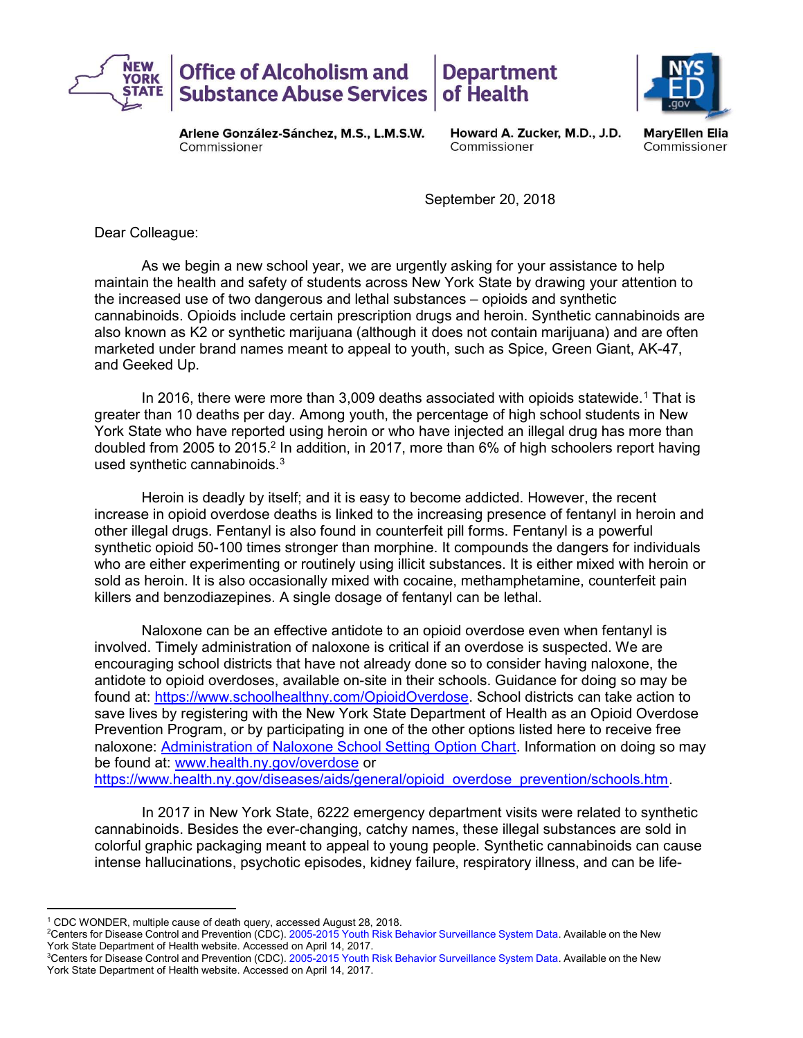

**Arlene Gonzalez-Sanchez, M.S., L.M.S.W. Howard A. Zucker, M.D., J.D. MaryEllen Elia**  Commissioner Commissioner Commissioner

September 20, 2018

Dear Colleague:

As we begin a new school year, we are urgently asking for your assistance to help maintain the health and safety of students across New York State by drawing your attention to the increased use of two dangerous and lethal substances – opioids and synthetic cannabinoids. Opioids include certain prescription drugs and heroin. Synthetic cannabinoids are also known as K2 or synthetic marijuana (although it does not contain marijuana) and are often marketed under brand names meant to appeal to youth, such as Spice, Green Giant, AK-47, and Geeked Up.

In 2016, there were more than 3,009 deaths associated with opioids statewide.<sup>1</sup> That is greater than 10 deaths per day. Among youth, the percentage of high school students in New York State who have reported using heroin or who have injected an illegal drug has more than doubled from 2005 to 2015.<sup>2</sup> In addition, in 2017, more than 6% of high schoolers report having used synthetic cannabinoids. $3$ 

 Heroin is deadly by itself; and it is easy to become addicted. However, the recent increase in opioid overdose deaths is linked to the increasing presence of fentanyl in heroin and other illegal drugs. Fentanyl is also found in counterfeit pill forms. Fentanyl is a powerful synthetic opioid 50-100 times stronger than morphine. It compounds the dangers for individuals who are either experimenting or routinely using illicit substances. It is either mixed with heroin or sold as heroin. It is also occasionally mixed with cocaine, methamphetamine, counterfeit pain killers and benzodiazepines. A single dosage of fentanyl can be lethal.

 Naloxone can be an effective antidote to an opioid overdose even when fentanyl is involved. Timely administration of naloxone is critical if an overdose is suspected. We are encouraging school districts that have not already done so to consider having naloxone, the antidote to opioid overdoses, available on-site in their schools. Guidance for doing so may be found at: <u>https://www.schoolhealthny.com/OpioidOverdose</u>. School districts can take action to save lives by registering with the New York State Department of Health as an Opioid Overdose Prevention Program, or by participating in one of the other options listed here to receive free naloxone: Administration of [Naloxone School Setting](https://www.schoolhealthny.com/cms/lib/NY01832015/Centricity/Domain/85/OpioidFlowChart2016.pdf) Option Chart. Information on doing so may be found at: [www.health.ny.gov/overdose](http://www.health.ny.gov/overdose) or [https://www.health.ny.gov/diseases/aids/general/opioid\\_overdose\\_prevention/schools.htm.](https://www.health.ny.gov/diseases/aids/general/opioid_overdose_prevention/schools.htm)

 In 2017 in New York State, 6222 emergency department visits were related to synthetic cannabinoids. Besides the ever-changing, catchy names, these illegal substances are sold in colorful graphic packaging meant to appeal to young people. Synthetic cannabinoids can cause intense hallucinations, psychotic episodes, kidney failure, respiratory illness, and can be life-

 $\overline{a}$ 

<sup>&</sup>lt;sup>1</sup> CDC WONDER, multiple cause of death query, accessed August 28, 2018.

 2 Centers for Disease Control and Prevention (CDC). 2005-2015 Youth Risk Behavior Surveillance System Data. Available on the New York State Department of Health website. Accessed on April 14, 2017.

 3 Centers for Disease Control and Prevention (CDC). 2005-2015 Youth Risk Behavior Surveillance System Data. Available on the New York State Department of Health website. Accessed on April 14, 2017.